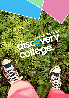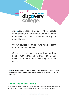

**discovery college** is a place where people come together to learn from each other, share experiences, and reach new understandings of mental health.

We run courses for anyone who wants to learn more about mental health.

Our courses are made, run, and attended by people with varied experiences in mental health, who share their knowledge of what works.

**discovery college** is an initiative of Alfred Health and works in partnership with headspace National to deliver and create courses for and with young people, professionals, and the community.

### **Acknowledgement of Country**

**discovery college** acknowledges the traditional custodians of the land we gather on. We would like to pay our respects to the Elders past, present and emerging.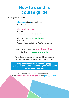# **How to use this course guide**

In this guide, you'll find:

#### **Info about discovery college PAGE 1 – 5**

**A list of all our courses PAGE 6 – 15** *To help you decide what to attend*

**A list of our Recovery Educators PAGE 16 – 20** *Find out who co-facilitates and builds our courses*

## You'll also need an **enrolment form** And our **current timetable**

There should be copies included with this course guide but if not, just email us and we will send you some!

*We run different courses at various locations in community spaces (like headspace) throughout the year. Our new timetable usually comes out 3 or 4 weeks before the start of the new term.*

If you need a hand, feel free to get in touch! Email **[info@discovery.college](mailto:info@discovery.college)** or call **(03) 9076 9476**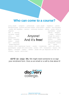# **Who can come to a course?**

young people – caregivers – professionals – queer people – neighbours – parents aboriginal people - someone who feels isolated - social workers – students - new Australians - people with disabilities – teachers - community members – siblings - people without a

- people diagnosed with bipolar and the bipolar section of the bipolar section of the bipolar section of the bipolar section of the bipolar section of the bipolar section of the bipolar section of the bipolar section of th

#### non-binary people and the set of the someone on-binary people and the someone only and the someone who's been  $\mathsf{ANV}\mathsf{O}\mathsf{P}\mathsf{P}$  through the system – grandparents - **people without jobs** – artists - hospitality **And it's free!** Workers - policy makers - people  $\overline{u}$   $\overline{u}$   $\overline{u}$   $\overline{v}$   $\overline{v}$  who have experienced Anyone!

diagnosis – https://www.indiagnosis – psychiatrists - people with a learning and the state of the difficulty – refugees loss – community development workers

someone who's experienced trauma – cousins – receptionists - aunts and uncles – psychologists - people with social anxiety – posties – GPs – backpackers – lawyers - firefighters – principals – soldiers – athletes - people who got diagnosed and feel lost ministers... anyone – and it's free!...

*NOTE for Under 18s:* We might need someone to co-sign your enrolment form. Give us an email or a call to chat about it!

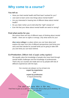# **Why come to a course?**

#### **You tell us**

- Have you tried mental health stuff that hasn't worked for you?
- Just want to learn some new things about mental health?
- Are you interested in hearing lots of different ideas about mental health?
- Do you hate it when you're told what the "right" answer is?
- Ever felt that your ideas about mental health are weird or wrong?

#### **Find what works for you**

We reckon there are lots of different ways of thinking about mental health – there are no rights or wrongs, only what works for you!

**discovery college** is a place where you can hear about and explore the topic from lots of different perspectives (and bring your own) and then decide for yourself what you're going to take with you and what you can leave behind.

#### **Co-Production** *(Different kinds of people working together!)*

We equally value the knowledge of people who have lived through mental health challenges and the knowledge of professionals. That's why our courses are made and run by people with lots of different experiences with the topic.

> Our courses are always run by at least one **expert by experience**

and **expert by profession** in equal partnership.

*I'm still not sure this is for me…* Feel free to give us a call or email to chat about what you're thinking. Or don't – you choose!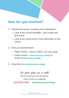# **How do I get involved?**

- 1. Choose the course / courses you're interested in
	- Look at the current timetable pick a topic and pick a time
	- Look at the course list for more information on the course
- 2. Fill in an enrolment form
	- Paper version *should be folded in this course guide!*
	- Online version **[www.discovery.college](http://www.discovery.college/)** or email **[info@discovery.college](mailto:info@discovery.college)**
- 3. Email form to **[info@discovery.college](mailto:info@discovery.college)**

## *Or just give us a call!*

We can enrol you over the phone! Call or email us to organise **(03) 9076 9467 [info@discovery.college](mailto:info@discovery.college)**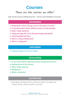# **Courses**

# *These are the courses we offer!*

Note: Not all courses are offered every term – see the current timetable for more info!

### **REFRAMING**

- Breaking the Taboo: Giving a voice to the topic of suicide
- In Someone Else's Shoes: Different ways of understanding
- Mind + Body: Nutrition
- Taking the Edge Off: Let's talk about drugs and alcohol
- Understanding Self-Harm
- What is it About Medication?
- What is a Diagnosis?

#### **EXPLORING**

Taking Charge of Your Own Health

### **DEVELOPING**

- In Your Write Mind: Exploring creative writing and recovery
- Making Sense of Your Senses
- Mind + Body: Exercise
- **Mindfulness**
- What is Creativity?

### **SUPPORTING**

 Managing the Ripple Effect of Mental Health: Strategies for friends, family, and the health care team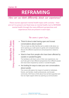# **REFRAMING**

*How can we think differently about our experiences?*

These courses approach mental health topics with curiosity – their aim isn't to present one fixed view on mental health, but to REFRAME mental health through the many different perspectives and experiences that are present in each topic.

#### *This course is great if you…*

 Think it's time to start having open and honest conversations about suicide:

This is a topic we often feel like we're unable to talk about, so we're opening up a safe space to gently and compassionately discuss the different experiences and perspectives related to suicide

 Want to hear from people who have been affected by suicide or suicidal thoughts:

The facilitators will share some of their own experiences, but you'll also get to hear different perspectives from different people who have been impacted by suicide or suicidal thoughts.

 Are looking for ways to start your own conversations about suicide:

The course will explore the impact of suicide for individuals, friends, and families, health professionals, and broader community. We'll have a think about how we feel supported and how we might support others by opening up communication.

Giving a voice to the topic of suicide Giving a voice to the topic of suicide Breaking the Taboo: **Breaking the Taboo**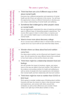• Think that there are a lot of different ways to think about mental health:

Everyone has a different perspective and experience of mental health and all of them are welcome in this course. You will have the opportunity to draw on different frameworks to develop your own unique understanding of mental health and wellbeing.

• Sometimes feel challenged by other people's views on mental health:

We are beginning to understand the value of exploring and being open to different ways of interpreting people's experiences. The course offers space to listen to others ideas, to express your own, and consider helpful ways to communicate ideas about mental health.

- Want to know more about discovery college: All our courses look at different ideas in mental health, but this is a great one to try if you're still not sure what that really means.
- Wonder where our ideas about food and nutrition come from:

Our ideas about nutrition can be influenced and shaped in many ways. We will examine the many different factors that contribute to how food makes us feel and the choices we make.

• Think there might be a relationship between food and feelings:

We will consider the impact of emotions, stigma, and values have on the way we relate to food and nutrition. We'll reflect on the evidence surrounding nutrition for health and wellbeing as well as stories of people who have experienced a link between their mental health and their relationship with food and nutrition.

 Think there might be more to nutrition than GOOD or BAD food:

We're going to consider multiple ways of thinking about nutrition. Everyone will have the chance to share in their personal values and experiences, and connect with others around their similarities as well as their differences and consider if there really is one right way to think about nutrition or many.

In someone else's shoes:

n someone else's shoes

Different ways of understanding

**Different ways of understanding**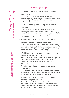• Are keen to explore diverse experiences around drugs and alcohol:

There is a lot of stigma and judgement around drugs and alcohol. This course hopes to open up a space to discuss openly emotional, physical, cultural and societal ideas around drugs, alcohol and what it all means in relation to mental health.

• Could find meaning from hearing other people's experiences:

By bravely sharing in a variety of lived and professional experiences, we hope to explore ways to have more compassionate conversation around drugs and alcohol, whether you are facing your own challenges, or supporting or working with someone who is.

 Would like to explore ideas about how to treat, manage or support drug and alcohol use: Through valuing the lived and professional experience voices in

relation to substance use, we open up a space to explore tools, techniques and strategies for treating, managing or supporting the experience of addiction and dependency.

• Would like to have more open and compassionate conversations about self-harm:

It can be difficult to explore self-harm but by creating a space to safely share in different perspectives around language, stereotypes and experiences we can be hopeful in doing so in our own lives.

• Are interested in hearing a range of perspectives about self-harm:

This course will explore facts, myths and functions of self-harm from a range of lived and professional experiences to encourage a broader and gentler understanding of self-harm.

 Would like to explore ideas about how to treat, manage or support self-harm:

Through honouring the lived and professional experience voices in relation to self-harm, this course will open up a space to explore tools, techniques and strategies for treating, managing or supporting the experience of self-harm.

Taking the Edge Off:

**Taking the Edge Off** 

Let's talk about alcohol and other drugs

et's talk about alcohol and other drugs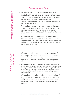**What is it About Medication?** What is it About Medication?

- Have got some thoughts about medication and mental health, but are open to hearing some different ones: This course gives you the chance to hear different lived experience and professional views on medication. The conversation will be had in a way that is open and respectful, but also engaging and interactive!
- Feel confused about the choice to take medication: We want to recognise that there is no single view on the role of medication in mental health. Hopefully by hearing some different perspectives, you'll be able to find some ideas that work for you.
- Want to learn about medication and mental health: We're going to explore the role of medication in mental health. We probably won't look specifically at individual medications, but we will share in different ideas about how and why medication is and isn't used by individuals.
- What is a Diagnosis? What is a Diagnosis?<br>Panel discussion
- Want to hear what diagnosis means to a range of different people: In this panel discussion, we'll open up a space to explore the value, meaning and worth for those impacted by diagnosis and those working with or supporting them.
- Wonder what a diagnosis even means: Diagnosis can be grounding, confounding, confusing or scary. Is it fixed or does it change over time? What is the actual role of diagnosis? Is it fact or opinion? This space will explore many of these questions by looking at the value, impact or meaning that diagnosis can have for people.
- Wonder how we might get a better understanding of diagnosis for the future: The panel members will consider the future of diagnosis in mental health, and what we can do in the meantime to get a better or different understanding of a diagnosis.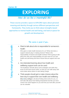# **EXPLORING**

# *How do we live a meaningful life?*

These courses provide a space to EXPLORE topics about personal meaning and identity through various different perspectives and frameworks. They invite you to think about strengths-based approaches to mental health and well-being, and look at spaces for growth and development.

#### *This course is great if you…*

 Want to talk about who is responsible for someone's health:

Who gets to make health decisions for us? What role does a support network play in making choices? What is the responsibility of doctors and health workers? We're going to talk about the roles and responsibilities we each have for our own health and well-being and that of those that we support and care for

 Are interested learning about how health and wellbeing support tools can be used:

The facilitators will talk about some strategies and skills they know of and have found useful, so that you can walk away with some ideas about where to start taking charge.

 Think people should get to make choices about the best way to support their own health and wellbeing: **discovery college** is all about finding what works for you, so we'll also talk about how feeling empowered and like you have control over what happens to you and how you look after yourself can be valuable.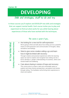*Courses for*

In Your Write Mind:

In Your Write Mind:

Exploring creative writing and recovery

Exploring creative writing and recovery

# **DEVELOPING**

## *Skills and strategies, stuff to do and try*

In these courses you'll explore and DEVELOP new skills and strategies that can support mental health. Each course invites you to play and experiment to find out what works for you while hearing about experiences of those who have worked with the techniques.

#### *This course is great if you…*

- Are looking for a new tool for self-expression: We're going to think and talk about how writing can be a powerful means of self-expression and communication of thoughts, ideas, sensations and feelings.
	- Want to give some creative writing a go and learn how it might be linked with recovery:

Through creative and practical experiences within the learning space we want to explore and recognise how writing can be a tool to develop a greater understanding of ourselves, others and mental health and wellbeing.

• Care about sharing in stories of hope and recovery: This course aims to create a safe and comfortable space to explore and share diverse perspectives, perceptions and stories through writing. The facilitators will all bring their experiences to share and explore.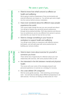• Want to know how what's around us affects our health and wellbeing:

We're going to build an awareness of how environments and external influences can impact us. You will also get some insight into the science behind sensory modulation.

 Have ever wondered about the different ways people experience the world:

This course might change the way you see yourself and others! You will get to explore your personal sensory preferences through some practical activities. We'll also examine and discuss how our preferences can be very different from person to person, and what this can mean for how we live our lives.

- Want to change something in your house or workplace to support health and wellbeing: You will get some hands on experience with different sensory techniques, and will walk away with some practical tips for building your sensory toolbox.
- Want to learn more about exercise for yourself or someone you know:

There will be lots of opportunity for reflection about your own relationship with exercise, with some practical skills as well.

 Are interested in the link between mental and physical health:

The course will cover some of the emerging research and personal experience on exercise as a strategy for recovery.

 Are a star athlete OR a beginner: We'll do some gentle exercise – think stretching and technique work – but we'll also be talking about different perspectives to do with exercise. The focus on finding out what works for YOU!

Mind + Body: Exploring health from head to

Vind + Body: Exploring health from head to

toe

EXERCISE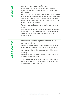- Aren't really sure what mindfulness is: Mindfulness is about bringing our attention to the present moment with openness and acceptance. You'll learn all about it in this course.
- Are looking for strategies for managing your thoughts: In this course, you'll get to have a go at some of the mindfulness strategies and practices that are out there. The facilitators will talk you through the strategies, and you'll have the chance to talk about it with others in the room.
- Want to hear a bit about how mindfulness works for others:

There is a fair bit of research out there that shows the benefits of mindfulness. You'll get to explore some of this information, as well as hear stories from people who have found value in mindfulness practices

 Wonder how creativity might be useful for you or someone you know:

We'll talk about what creativity is, the value it brings and how people have found ways to welcome creative into their lives.

 Are interested in the link between mental health and creativity:

The course will playfully explore techniques and examples of creativity as a tool for wellbeing.

DON'T feel creative at all: We're going to talk about the different forms of creativity, and you might be surprised at the creativity that already exists in your life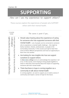# **SUPPORTING**

*How can I use my experiences to support others?*

These courses explore the experiences of people who SUPPORT others with their mental health.

| This course is great if you                                                                                                                                                                                                                                                                                                                                                                                                                                                                                       |
|-------------------------------------------------------------------------------------------------------------------------------------------------------------------------------------------------------------------------------------------------------------------------------------------------------------------------------------------------------------------------------------------------------------------------------------------------------------------------------------------------------------------|
| Would value hearing about the experience of caring<br>for someone who has supported someone with their<br>mental health: Lots of people can be connected to someone<br>who is experience a mental health challenge - this might be<br>family members, friends, professionals, or people in the<br>surrounding community. In this course you'll get to hear from<br>some of these different perspectives and have an opportunity to<br>learn from one another.<br>Are looking for new insights into how we support |
| ourselves to support others:<br>At discovery college we try to acknowledge the expertise in all<br>of us. In this course, we're hoping to bring people together to<br>share in what they have learned about the impact of supporting<br>someone with their mental health.                                                                                                                                                                                                                                         |
| Think that there is hope in coming together as a<br>community to talk about mental health:<br>In coming together, we want to support you to build a sense of<br>community and inspire a sense of hope for the future.                                                                                                                                                                                                                                                                                             |
|                                                                                                                                                                                                                                                                                                                                                                                                                                                                                                                   |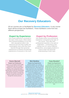# **Our Recovery Educators**

All our courses are co-facilitated by **Recovery Educators**. In any course there will be at least two facilitators. These facilitators come from two different perspectives:

#### **Expert by Experience**

has a lived experience connected to the topic of the course. What makes them powerful facilitators is not only their educational skills in the classroom but how they readily and meaningfully share what they have learned through their personal experiences to enhance the learning experiences of everyone in the room.

#### **Expert by Profession**

has studied and/or has professional experience connected to the topic of the course. They offer their professional expertise in the spirit of exploration – connecting to and making room for various different perspectives, encouraging students to come to their own personal understanding of each topic.

#### **Karen Barnett Expert by Profession**

Karen is an accredited mental health social worker with over 10 years' experience in clinical mental health settings. She is passionate about working side by side with young people, their families, and friends, to connect with their inner wisdom, and allow this wisdom to guide and nurture them through the recovery process.

#### **Bek Beddoe**

**Expert by Experience** Rebekah Beddoe was studying Professional Writing when she suffered postnatal depression. What began as a major assessment task, documenting living with and recovery from PND, became her book, *Dying for a Cure - a* 

*memoir of antidepressants, misdiagnosis and madness* (2007). Rebekah continues to write, and presents about challenges of medication in psychiatric treatment, including at the Annual Congress of the ANZ College of Psychiatrists in 2017. She really enjoys that her role at Discovery College allows for greater connection with people in a supportive, relaxed, learning environment.

#### **Case Bosdorf Expert by Experience**

Case Bosdorf is developing an understanding and appreciation of how to help and look after herself and wants to help others understand, work through and develop some understanding of their own emotional and mental needs, finding ways to challenge but support the mind and heart. She aims to share in her experiences with organisations and programs she's participated in, the mental struggles she's faced, different ways and techniques of managing through them, and how living with mental health issues affects her life and faith.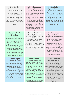#### **Troy Bryden Expert by Experience**

Troy is a peer youth worker at headspace Narre Warren and Dandenong. He enjoys fitness activities, yoga and meditation. Troy first discovered mindfulness as a tool to help him deal with VCE stress in high school and has since cultivated his interest over time with a personal practice, involvement in groups and has had experience leading groups as a volunteer.

#### **Rebecca Cook-Hamilton Expert by Experience**

Rebecca has devoted the past 10 years to a journey towards greater wellbeing. She utilises what she has learnt through her own life experiences, therapy, and strategies to manage her mental health challenges. Her toolkit includes a combination of selfawareness, sensory modulation techniques and mindfulness. She is passionate about working to encourage others to engage in their own journey towards wellness and successful management of their conditions

#### **Sophie Dight Expert by Profession**

Sophie has been working as a Social Worker for the past 18 years, and has extensive experience in supporting individuals in mental health recovery. Sophie has been working with headspace for the past two years and is passionate about early intervention and preventative support work. Sophie is looking forward to being part of the Discovery College and having the opportunity to empower individuals though education and self-discovery.

#### **Michael Cameron Expert by Profession**

Michael is a Youth Drug and Alcohol Outreach worker with YSAS who supports young people to address drug and alcohol related issues in a safe, secure and youth-friendly environment. Michael, like the Discovery College model, aims to engage young people in an environment where they can be heard and understood through a nonjudgemental and welcoming approach. Michael has a passion for advocacy as he is a firm believer that every young person should be provided with the resources and opportunity to live fulfilling lives.

#### **Andrew Cookson Expert by Experience**

At Discovery College, Andrew has a keen interest in bringing together his lived experience with mood disorders and a professional expertise as a mental health educator. He does this most notably in his work with young people. Andrew believes that the use of recovery models provides important steps for young people in dealing with their mental health challenges.

#### **Andrew Foster**

**Expert by Experience & Discovery College Coordinator** Andrew combines 20 years of working in specialist education focused roles and his own experiences with mental health challenges and overcoming addiction. At Discovery College he brings these two areas of expertise together in a way that can help others to make sense of their own experiences in a way that is engaging, interesting and inspires hope. He has a passion for people to be able to find their own unique voice and to be able to understand their life experiences in a meaningful and empowering way.

#### **Lindy Chaleyer Expert by Experience**

Lindy has worked as a Family Peer Support Worker and Carer Consultant in youth and aged mental health over the past five years. She uses her own lived experience of mental illness in her family so that families can make sense of their often new involvement with

mental ill health. Through sharing and discussion Lindy endeavours to assist families to live with less guilt, shame, grief and isolation.

#### **Paul Denborough Expert by Profession**

Paul has worked as a child and youth psychiatrist for over 20 years and has been in his current role as clinical director of Alfred CYMHS and headspace for 15 years. He is passionate about improving the accessibility and quality of mental health services for young people and their families. In his role as Recovery Educator he hopes to use this experience to foster collaboration between young people, families and professionals to help improve outcomes and minimise stigma and discrimination.

#### **Zane Friedman Expert by Experience**

For several years Zane has devoted his time to the headspace Elsternwick YAC, and previously co-facilitated peer groups as a volunteer, now doing so on a contract basis. Zane is an avid reader, writer, storyteller, and advocate for all people. Favouring the personfocused and diverse, Zane was drawn to Discovery College by its communal approach to mental health and wellness education. He believes his own education in these areas to be lifelong, and is jumping at the exciting opportunity to grow and share his expertise.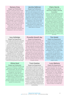#### **Samara Gray Expert by Profession**

Samara is passionate about mental health and suicide prevention, and since 2005 has sought various paths to pursue her passion and knowledge to help others impacted by mental health and AOD concerns. At the Discovery College she draws on her passion and her knowledge of suicide prevention research in the hopes of creating an opportunity to have open conversations about suicide. By creating a nonjudgemental environment and encouraging sharing, she wants everyone to feel heard, respected and empowered in their own narrative.

#### **Jacinta Halloran Expert by Profession**

Jacinta has worked for many years as a GP (now with headspace) and is also the author of three published novels. At Discovery College she combines these two areas of expertise and passion to support and inspire young people who would like to use writing as a means of expression in their mental health maintenance and recovery. She believes that creativity in all forms can help generate new insights and understanding, and makes the world a better place for everyone.

#### **Issy Holledge Expert by Experience**

Issy is hugely passionate about educating the community around her and about connecting the different parts of community. Her passion extends to Discovery College, to learning, and to educating. She combines professional experience as a peer support and youth worker with her lived experience of mental health, addiction and identity challenges. In an engaging manner, she speaks insightfully using raw, real language, believing that the practice of taking charge of our own health changes our recovery paths and our lives for the better. With an encouraging and warm manner, she holds a safe and strong presence and energy.

#### **Olivia Hunt Expert by Profession**

Olivia is an Occupational Therapist with experience in working in adult and youth mental health. She has provided psychosocial and clinical case management, with intensive interventions for people with varying mental health challenges using her occupational focus. Olivia has worked across residential services and assertive outreach; she is an advocate for hope in people's recovery and has a passion for sensory work.

#### **Prunella Howell-Jay Expert by Experience**

Prunella has lived experience with her own mental health challenges and finding herself within her recovery. She came involved with Discovery College through originally volunteering within the Youth Advisory Committee before becoming employed in a Youth Peer Position. She is passionate about giving young people a voice and autonomy within their mental health experiences. Prunella hopes that through Discovery College, young people and families can learn more about themselves to support their own and their loved one's journey

through recovery.

#### **Trent Katelas Expert by Experience**

Trent brings his experience of his own mental health to Discovery College. He has a passion to help out youth through the Discovery College courses. He brings his past of mental challenges to the table, particularly the way he coped, which gives a new perspective on coping strategies.

He likes to use those coping strategies to inspire others to explore new coping strategies they can use. Trent gets people thinking about things through open ended questions. In doing so, what people learn is from a knowledge provided from the wisdom of others, giving a deeper level of understanding

#### **Claire Harcla Expert by Experience & Discovery College Learning Consultant**

Claire is an individual passionate about education, the arts, mental health and fostering positive collaboration within communities. She has 10 years of educational experience, working across various roles, contexts and continents and is undertaking her Masters in Narrative Therapy. Claire believes that learning spaces should be a place for comfortable and open conversations where individuals are able to share their stories, changing the monologue into a dialogue. She feels that through the sharing of perspective, within an educational space, individuals are able to feel agency, connectedness and empowerment to be experts in their own story.

#### **Tim Hulett Expert by Experience**

Tim became involved with Discovery College via his involvement with Headspace Frankston as a member of their YRG (Youth Reference Group). He attended our courses as a student and developed a real passion for this style of education. Tim combines knowledge of his own mental health recovery with the ability to communicate his experiences in an engaging and relatable manner. He is actively engaged with headspace centres Bentleigh & Frankston and is training to become a full time peer support worker.

#### . **Lucy Mahony Expert by Experience**

Lucy has lived experience with mental health challenges. She strongly believes that finding inner peace and happiness begins with changing our inner workings- our minds, attitude and perceptions of our exterior world. Amongst other methods, Lucy particularly advocates mindfulness and meditation and hopes sharing her own experience with mental health and different coping strategies will help others improve, and feel a greater sense of clarity in our daily lives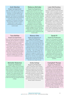#### **Josh Mardan**

#### **Expert by Experience**

Josh was drawn to Discovery College because of its different approach to education. He firmly believes that through education, you can fight adversity. Josh brings his knowledge of mental health through lived experience to the classroom. He feels that experience is a priceless commodity, and should be utilised to its fullest, helping others to gain a better understanding and knowledge of mental health.

#### **Tara McRae Expert by Experience**

Tara is currently studying psychology at university with the intention to continue post graduate studies in occupational therapy. She also has a lived experience of mental illness, and aims to incorporate this expertise in her future career. She has a passion for supporting youth in their journey of recovery, and to assist them to find a voice that is empowering and hopeful. She aims to achieve this through

Discovery College and in her future career as an occupational therapist

#### **Rebecca McCabe Expert by Experience**

Rebecca has worked in the mental health field for the last two years. Previously she was working with adults, but has always had a passion for child and adolescent mental health. Rebecca has also overcome her own mental health issues, dealing with depression and anxiety when she was younger. Rebecca brings her program development and counselling knowledge to Discovery College, helping the team to devise programs for people engaged with the Discovery College education program. She finds enjoyment in interacting with and learning from others experiences with mental health.

#### **Bianca Otto Expert by Experience & Expert by Profession**

Bianca comes to Discovery College with 7 years of personal Mindfulness practice and 4 years teaching. She has experienced many issues with her own mental health and understands the

challenges that this can bring. Bianca has taught a broad range of students from Prep – Year 12 to adults, and

understands that different ways are required to engage her students. Her approach is more of a gentle teaching style and her intention is for students to find the way to use the techniques to support them in their lives, for them to find their own unique formula

#### **Michelle Roberton Expert by Profession**

Michelle is a dietitian who has worked extensively in mental health over many years involved in treatment services & more recently in consultation support and training for health professionals primarily in the eating disorders field. She is enthusiastic to contribute to empowering people becoming experts in their own self care through Discovery

College.

#### **Anita Schep Expert by Profession**

Anita is passionate about helping others find creative ways to express various life experiences and emotions, and about helping others find hope, meaning and purpose. She has been personally touched by mental ill-health in her family. Anita began as a Secondary School Art Teacher, before retraining as an Art Therapist. Since then she has worked as a Community Mental Health Professional.

#### **Liam McCluskey Expert by Experience**

During my experience with Discovery College I wish to exemplify someone

who is open to investigating and contemplating the existence of my own subjective and objective experience. The curiosity I express contributes to an expansive perspective and philosophy which broadens my outlook. From this introspection, I wish to share my own ideas and look to form a synthesis with

a collaborative group at Discovery College. My personal experience of mental health challenges has brought up the idea of quintessential elements of awareness and education in mental health and in the community.

**Sarah R**

#### **Expert by Profession**

Sarah is an Occupational Therapist who has a passion for working with young people experiencing challenges related to their mental health and wellbeing. She has worked across a range of different settings. For the past three years she has been with hYEPP working across the Mobile Assessment

& Treatment Team and the Recovery Program. She has a passion for developing collaborative working relationships with young people and their networks, to support a transition back to engaging in meaningful activities.

#### **Campbell Thorpe Expert by Profession**

Campbell is a psychiatrist who has worked in child and youth mental health for 15 years. He has an enthusiasm for contextualising mental health difficulties within a broader social perspective and strongly believes in the importance of positive social connections in recovery. Campbell is passionate about developing services that place the young person in a central directing role in their care, working collaboratively with young people, their families and social networks. He enjoys the open exchange of ideas and building new ways of understanding together in Discovery College. Campbell also loves riding bicycles and owns seven - one for each day of the week.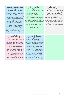#### **Lauren Van Krimpen Expert by Experience & Discovery College Learning Consultant**

Lauren weaves together many threads of her life at Discovery College – she loves being in the classroom, has a Psychology degree under her belt, has a lived experience of anxiety and depression (and as a family member of friend of people with mental health experiences, can format that hell out! She strongly believes in the power of personal connection when it comes to both education and navigating mental health experiences. As such, Lauren finds satisfaction and joy in building safe and dynamic learning environments in which people can meet and share in their own expertise.

#### **Katie Wilson Expert by Profession**

Katie Wilson is a social worker with 12 years of experience working with young people and families experiencing a range of challenges including chronic illness, bereavement and mental health. From both her professional and personal experiences, she is strongly aware of the central role that hope can play in navigating life's challenges. Katie seeks to engage in authentic relationships with young people to support them through their own individual recovery journey, working towards their goals and aspirations

#### **Shifra Waks Expert by Experience**

Shifra is passionate about working with consumers and health professionals to shift people's perceptions, to know there's no one way of looking at these complex issues. She wants to help other consumers find their voice and their way to make their own choices in life. Shifra draws on her experiences as a Peer Education co-facilitating and codesigning numerous courses at South East Sydney Recovery College and

from her research background in public health and psychology.

#### **Claire Wilson Expert by Profession**

For more than 10 years Claire worked in the health field. Since beginning a Bachelor of Occupational Therapy, Claire has naturally found herself moving into the field of mental health. With her years of experience promoting physical health and well-being, Claire is looking forward to combining her skills and knowledge from both areas to support individual experiences of mental health challenges in a balanced and nurturing way.

#### **Lauren Zelunka Expert by Profession**

For the last 4 and a half years, Lauren has worked in the Youth or AOD sector space after completing her Counselling degree. She has worked in both residential and community settings. Prior to this, Lauren worked for 10 years in the legal field, both local and overseas, with 7 of these being at Victoria Legal Aid (vulnerable clients). She now works in the prevention space with Taskforce. Lauren has a strong interest in early intervention and positive psychology for both AOD and MH, and is looking forward to bringing

this to her work with Discovery College.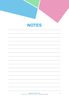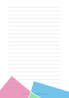